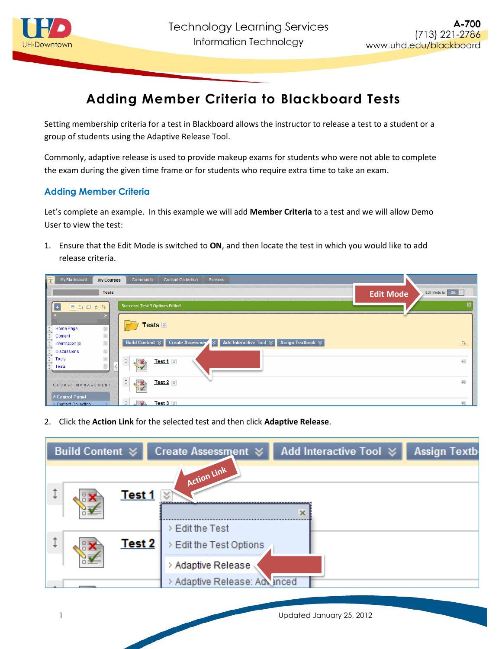

## **Adding Member Criteria to Blackboard Tests**

Setting membership criteria for a test in Blackboard allows the instructor to release a test to a student or a group of students using the Adaptive Release Tool.

Commonly, adaptive release is used to provide makeup exams for students who were not able to complete the exam during the given time frame or for students who require extra time to take an exam.

## **Adding Member Criteria**

Let's complete an example. In this example we will add **Member Criteria** to a test and we will allow Demo User to view the test:

1. Ensure that the Edit Mode is switched to **ON**, and then locate the test in which you would like to add release criteria.

| My Blackboard<br>Community<br><b>Content Collection</b><br>Services<br><b>My Courses</b>                                                                |                                      |
|---------------------------------------------------------------------------------------------------------------------------------------------------------|--------------------------------------|
| <b>Tests</b>                                                                                                                                            | Edit Mode is: ON<br><b>Edit Mode</b> |
| <b>Success: Test 3 Options Edited.</b><br><b>BDDS</b><br>$\uparrow \downarrow$<br>$\ddot{}$                                                             |                                      |
| Tests $\mathbb{Z}$<br>$\ll$<br>Home Page<br>$\preccurlyeq$<br>Content                                                                                   |                                      |
| Add Interactive Tool $\mathcal>\emptyset$<br><b>Create Assessmen</b><br>×।<br><b>Assign Textbook </b> ↓<br>Build Content $\leq$<br>$\ll$<br>Information | $\uparrow \downarrow$                |
| $\ll$<br><b>Discussions</b><br>$\approx$<br><b>Tools</b><br>Test 1 $\%$<br><b>SIX</b><br>$\preccurlyeq$<br>Tests                                        | $\qquad \qquad \Box$                 |
| $\updownarrow$<br>Test 2 $\,$ $\otimes$<br><b>SIX</b><br>COURSE MANAGEMENT<br>* Control Panel                                                           | $\qquad \qquad \Box$                 |
| $\sqrt{3}$<br>Test $3 \times$<br><b>Content Collection</b>                                                                                              | $\equiv$                             |

2. Click the **Action Link** for the selected test and then click **Adaptive Release**.

| <b>Build Content ☆</b> | Create Assessment <b>☆</b>                                     | Add Interactive Tool $\otimes$ | <b>Assign Textb</b> |
|------------------------|----------------------------------------------------------------|--------------------------------|---------------------|
| Test 1                 | Action Link                                                    | х                              |                     |
| <b>Test 2</b>          | $>$ Edit the Test<br>Edit the Test Options<br>Adaptive Release |                                |                     |
|                        | Adaptive Release: Advanced                                     |                                |                     |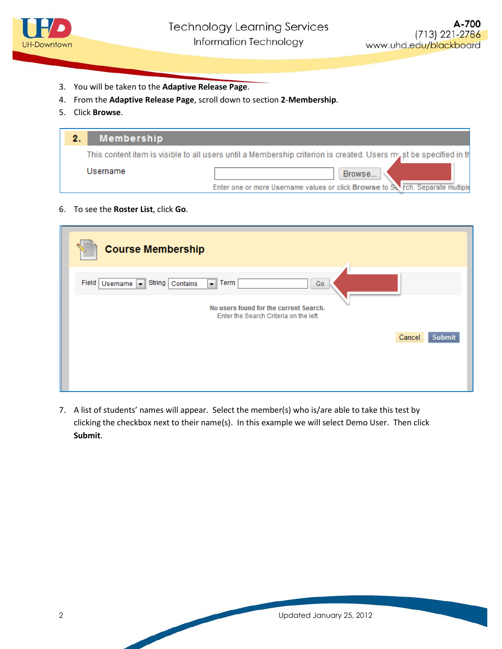

- 3. You will be taken to the **Adaptive Release Page**.
- 4. From the **Adaptive Release Page**, scroll down to section **2**-**Membership**.
- 5. Click **Browse**.

| Membership |                                                                                                                  |
|------------|------------------------------------------------------------------------------------------------------------------|
|            | This content item is visible to all users until a Membership criterion is created. Users m/st be specified in th |
| Username   | Browse                                                                                                           |
|            | Enter one or more Username values or click Browse to Strich. Separate multiple                                   |

6. To see the **Roster List**, click **Go**.

| <b>Course Membership</b>                                                                                                                                     |                         |
|--------------------------------------------------------------------------------------------------------------------------------------------------------------|-------------------------|
| Field<br>String   Contains<br>Term<br>Username v<br>$\blacksquare$<br>Go<br>No users found for the current Search.<br>Enter the Search Criteria on the left. |                         |
|                                                                                                                                                              | Cancel<br><b>Submit</b> |

7. A list of students' names will appear. Select the member(s) who is/are able to take this test by clicking the checkbox next to their name(s). In this example we will select Demo User. Then click **Submit**.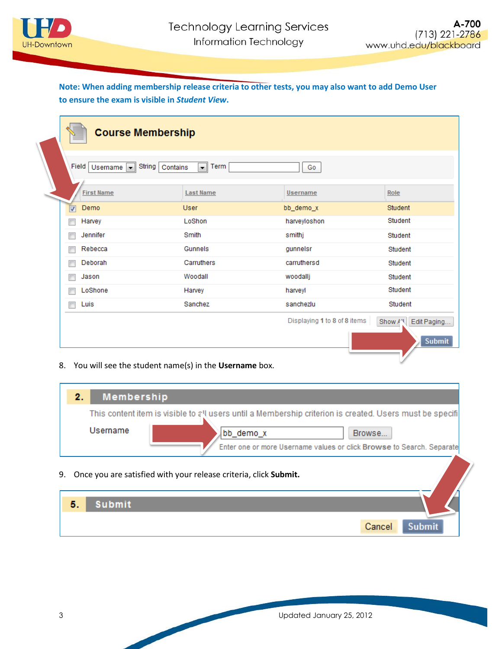

## **Note: When adding membership release criteria to other tests, you may also want to add Demo User to ensure the exam is visible in** *Student View***.**

| <b>Course Membership</b>                                                                          |                  |              |         |
|---------------------------------------------------------------------------------------------------|------------------|--------------|---------|
| Field<br>Username $\boxed{\mathbf{v}}$ String<br>Term<br>Contains<br>Go<br>$\left  \cdot \right $ |                  |              |         |
| <b>First Name</b>                                                                                 | <b>Last Name</b> | Username     | Role    |
| Demo<br>$\overline{\mathbf{v}}$                                                                   | <b>User</b>      | bb_demo_x    | Student |
| Harvey<br>г                                                                                       | LoShon           | harveyloshon | Student |
| Jennifer<br>г                                                                                     | Smith            | smithj       | Student |
| Rebecca<br>г                                                                                      | Gunnels          | qunnelsr     | Student |
| Deborah<br>г                                                                                      | Carruthers       | carruthersd  | Student |
| Jason<br>г                                                                                        | Woodall          | woodallj     | Student |
| LoShone<br>г                                                                                      | Harvey           | harveyl      | Student |
| Luis<br>г                                                                                         | Sanchez          | sanchezlu    | Student |
| Displaying 1 to 8 of 8 items<br>Edit Paging<br>Show AN<br><b>Submit</b>                           |                  |              |         |

8. You will see the student name(s) in the **Username** box.

| <b>Membership</b><br>2. |                                                                                                                                                                                                          |
|-------------------------|----------------------------------------------------------------------------------------------------------------------------------------------------------------------------------------------------------|
| Username                | This content item is visible to all users until a Membership criterion is created. Users must be specifi<br>bb_demo_x<br>Browse<br>Enter one or more Username values or click Browse to Search. Separate |
|                         | 9. Once you are satisfied with your release criteria, click Submit.                                                                                                                                      |

| 5. | <b>Submit</b> |        |               |
|----|---------------|--------|---------------|
|    |               | Cancel | <b>Submit</b> |